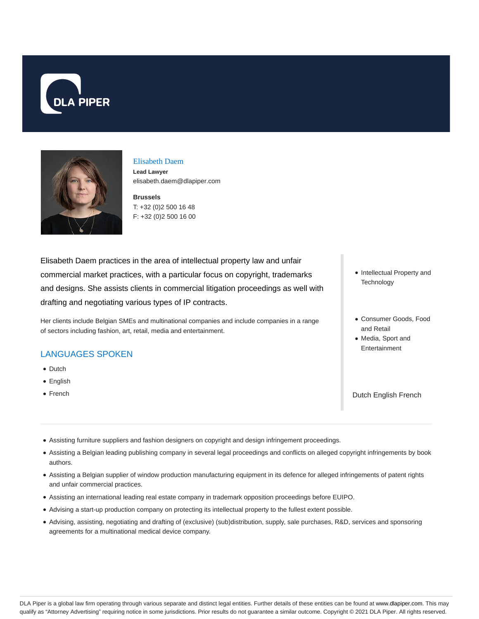



#### Elisabeth Daem

**Lead Lawyer** elisabeth.daem@dlapiper.com

**Brussels** T: +32 (0)2 500 16 48 F: +32 (0)2 500 16 00

Elisabeth Daem practices in the area of intellectual property law and unfair commercial market practices, with a particular focus on copyright, trademarks and designs. She assists clients in commercial litigation proceedings as well with drafting and negotiating various types of IP contracts.

Her clients include Belgian SMEs and multinational companies and include companies in a range of sectors including fashion, art, retail, media and entertainment.

### LANGUAGES SPOKEN

- Dutch
- English
- French
- Intellectual Property and **Technology**
- Consumer Goods, Food and Retail
- Media, Sport and Entertainment

Dutch English French

- Assisting furniture suppliers and fashion designers on copyright and design infringement proceedings.
- Assisting a Belgian leading publishing company in several legal proceedings and conflicts on alleged copyright infringements by book authors.
- Assisting a Belgian supplier of window production manufacturing equipment in its defence for alleged infringements of patent rights and unfair commercial practices.
- Assisting an international leading real estate company in trademark opposition proceedings before EUIPO.
- Advising a start-up production company on protecting its intellectual property to the fullest extent possible.
- Advising, assisting, negotiating and drafting of (exclusive) (sub)distribution, supply, sale purchases, R&D, services and sponsoring agreements for a multinational medical device company.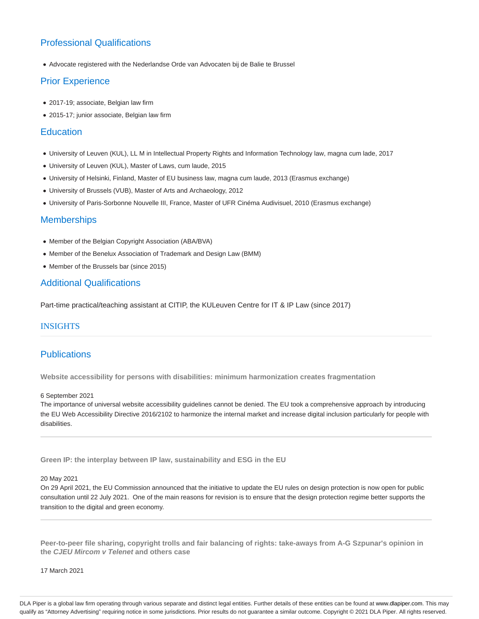# Professional Qualifications

Advocate registered with the Nederlandse Orde van Advocaten bij de Balie te Brussel

## Prior Experience

- 2017-19; associate, Belgian law firm
- 2015-17; junior associate, Belgian law firm

### **Education**

- University of Leuven (KUL), LL M in Intellectual Property Rights and Information Technology law, magna cum lade, 2017
- University of Leuven (KUL), Master of Laws, cum laude, 2015
- University of Helsinki, Finland, Master of EU business law, magna cum laude, 2013 (Erasmus exchange)
- University of Brussels (VUB), Master of Arts and Archaeology, 2012
- University of Paris-Sorbonne Nouvelle III, France, Master of UFR Cinéma Audivisuel, 2010 (Erasmus exchange)

### **Memberships**

- Member of the Belgian Copyright Association (ABA/BVA)
- Member of the Benelux Association of Trademark and Design Law (BMM)
- Member of the Brussels bar (since 2015)

## Additional Qualifications

Part-time practical/teaching assistant at CITIP, the KULeuven Centre for IT & IP Law (since 2017)

### INSIGHTS

## **Publications**

**Website accessibility for persons with disabilities: minimum harmonization creates fragmentation**

#### 6 September 2021

The importance of universal website accessibility guidelines cannot be denied. The EU took a comprehensive approach by introducing the EU Web Accessibility Directive 2016/2102 to harmonize the internal market and increase digital inclusion particularly for people with disabilities.

**Green IP: the interplay between IP law, sustainability and ESG in the EU**

#### 20 May 2021

On 29 April 2021, the EU Commission announced that the initiative to update the EU rules on design protection is now open for public consultation until 22 July 2021. One of the main reasons for revision is to ensure that the design protection regime better supports the transition to the digital and green economy.

**Peer-to-peer file sharing, copyright trolls and fair balancing of rights: take-aways from A-G Szpunar's opinion in the CJEU Mircom v Telenet and others case**

17 March 2021

DLA Piper is a global law firm operating through various separate and distinct legal entities. Further details of these entities can be found at www.dlapiper.com. This may qualify as "Attorney Advertising" requiring notice in some jurisdictions. Prior results do not guarantee a similar outcome. Copyright © 2021 DLA Piper. All rights reserved.